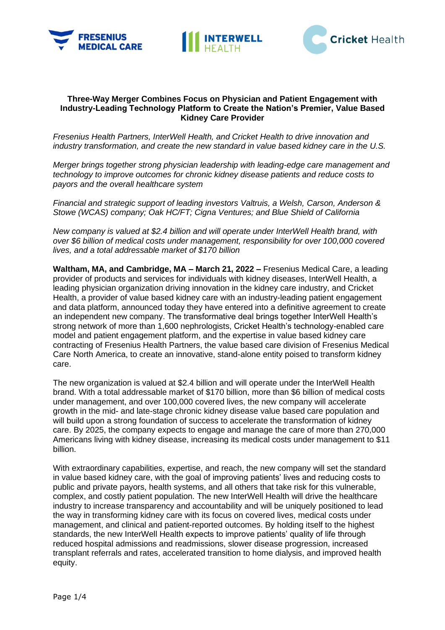





## **Three-Way Merger Combines Focus on Physician and Patient Engagement with Industry-Leading Technology Platform to Create the Nation's Premier, Value Based Kidney Care Provider**

*Fresenius Health Partners, InterWell Health, and Cricket Health to drive innovation and industry transformation, and create the new standard in value based kidney care in the U.S.* 

*Merger brings together strong physician leadership with leading-edge care management and technology to improve outcomes for chronic kidney disease patients and reduce costs to payors and the overall healthcare system* 

*Financial and strategic support of leading investors Valtruis, a Welsh, Carson, Anderson & Stowe (WCAS) company; Oak HC/FT; Cigna Ventures; and Blue Shield of California* 

*New company is valued at \$2.4 billion and will operate under InterWell Health brand, with over \$6 billion of medical costs under management, responsibility for over 100,000 covered lives, and a total addressable market of \$170 billion* 

**Waltham, MA, and Cambridge, MA – March 21, 2022 –** Fresenius Medical Care, a leading provider of products and services for individuals with kidney diseases, InterWell Health, a leading physician organization driving innovation in the kidney care industry, and Cricket Health, a provider of value based kidney care with an industry-leading patient engagement and data platform, announced today they have entered into a definitive agreement to create an independent new company. The transformative deal brings together InterWell Health's strong network of more than 1,600 nephrologists, Cricket Health's technology-enabled care model and patient engagement platform, and the expertise in value based kidney care contracting of Fresenius Health Partners, the value based care division of Fresenius Medical Care North America, to create an innovative, stand-alone entity poised to transform kidney care.

The new organization is valued at \$2.4 billion and will operate under the InterWell Health brand. With a total addressable market of \$170 billion, more than \$6 billion of medical costs under management, and over 100,000 covered lives, the new company will accelerate growth in the mid- and late-stage chronic kidney disease value based care population and will build upon a strong foundation of success to accelerate the transformation of kidney care. By 2025, the company expects to engage and manage the care of more than 270,000 Americans living with kidney disease, increasing its medical costs under management to \$11 billion.

With extraordinary capabilities, expertise, and reach, the new company will set the standard in value based kidney care, with the goal of improving patients' lives and reducing costs to public and private payors, health systems, and all others that take risk for this vulnerable, complex, and costly patient population. The new InterWell Health will drive the healthcare industry to increase transparency and accountability and will be uniquely positioned to lead the way in transforming kidney care with its focus on covered lives, medical costs under management, and clinical and patient-reported outcomes. By holding itself to the highest standards, the new InterWell Health expects to improve patients' quality of life through reduced hospital admissions and readmissions, slower disease progression, increased transplant referrals and rates, accelerated transition to home dialysis, and improved health equity.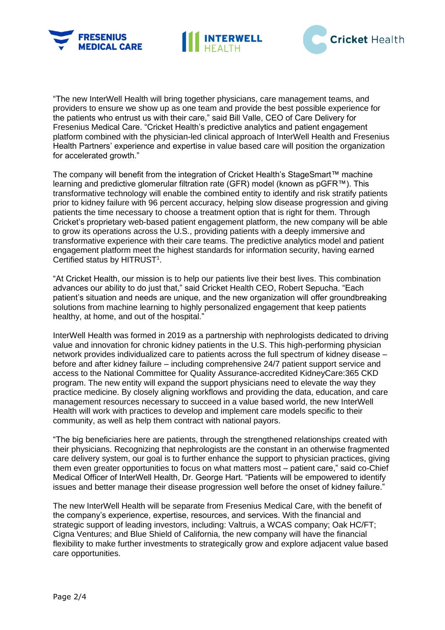





"The new InterWell Health will bring together physicians, care management teams, and providers to ensure we show up as one team and provide the best possible experience for the patients who entrust us with their care," said Bill Valle, CEO of Care Delivery for Fresenius Medical Care. "Cricket Health's predictive analytics and patient engagement platform combined with the physician-led clinical approach of InterWell Health and Fresenius Health Partners' experience and expertise in value based care will position the organization for accelerated growth."

The company will benefit from the integration of Cricket Health's StageSmart™ machine learning and predictive glomerular filtration rate (GFR) model (known as pGFR™). This transformative technology will enable the combined entity to identify and risk stratify patients prior to kidney failure with 96 percent accuracy, helping slow disease progression and giving patients the time necessary to choose a treatment option that is right for them. Through Cricket's proprietary web-based patient engagement platform, the new company will be able to grow its operations across the U.S., providing patients with a deeply immersive and transformative experience with their care teams. The predictive analytics model and patient engagement platform meet the highest standards for information security, having earned Certified status by HITRUST<sup>1</sup>.

"At Cricket Health, our mission is to help our patients live their best lives. This combination advances our ability to do just that," said Cricket Health CEO, Robert Sepucha. "Each patient's situation and needs are unique, and the new organization will offer groundbreaking solutions from machine learning to highly personalized engagement that keep patients healthy, at home, and out of the hospital."

InterWell Health was formed in 2019 as a partnership with nephrologists dedicated to driving value and innovation for chronic kidney patients in the U.S. This high-performing physician network provides individualized care to patients across the full spectrum of kidney disease – before and after kidney failure – including comprehensive 24/7 patient support service and access to the National Committee for Quality Assurance-accredited KidneyCare:365 CKD program. The new entity will expand the support physicians need to elevate the way they practice medicine. By closely aligning workflows and providing the data, education, and care management resources necessary to succeed in a value based world, the new InterWell Health will work with practices to develop and implement care models specific to their community, as well as help them contract with national payors.

"The big beneficiaries here are patients, through the strengthened relationships created with their physicians. Recognizing that nephrologists are the constant in an otherwise fragmented care delivery system, our goal is to further enhance the support to physician practices, giving them even greater opportunities to focus on what matters most – patient care," said co-Chief Medical Officer of InterWell Health, Dr. George Hart. "Patients will be empowered to identify issues and better manage their disease progression well before the onset of kidney failure."

The new InterWell Health will be separate from Fresenius Medical Care, with the benefit of the company's experience, expertise, resources, and services. With the financial and strategic support of leading investors, including: Valtruis, a WCAS company; Oak HC/FT; Cigna Ventures; and Blue Shield of California, the new company will have the financial flexibility to make further investments to strategically grow and explore adjacent value based care opportunities.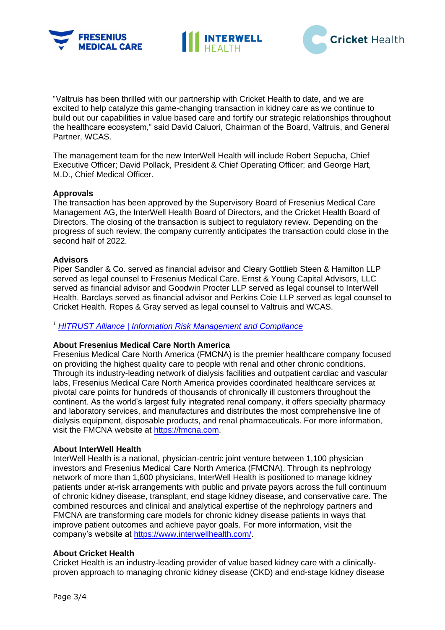





"Valtruis has been thrilled with our partnership with Cricket Health to date, and we are excited to help catalyze this game-changing transaction in kidney care as we continue to build out our capabilities in value based care and fortify our strategic relationships throughout the healthcare ecosystem," said David Caluori, Chairman of the Board, Valtruis, and General Partner, WCAS.

The management team for the new InterWell Health will include Robert Sepucha, Chief Executive Officer; David Pollack, President & Chief Operating Officer; and George Hart, M.D., Chief Medical Officer.

## **Approvals**

The transaction has been approved by the Supervisory Board of Fresenius Medical Care Management AG, the InterWell Health Board of Directors, and the Cricket Health Board of Directors. The closing of the transaction is subject to regulatory review. Depending on the progress of such review, the company currently anticipates the transaction could close in the second half of 2022.

## **Advisors**

Piper Sandler & Co. served as financial advisor and Cleary Gottlieb Steen & Hamilton LLP served as legal counsel to Fresenius Medical Care. Ernst & Young Capital Advisors, LLC served as financial advisor and Goodwin Procter LLP served as legal counsel to InterWell Health. Barclays served as financial advisor and Perkins Coie LLP served as legal counsel to Cricket Health. Ropes & Gray served as legal counsel to Valtruis and WCAS.

## *<sup>1</sup> [HITRUST Alliance | Information Risk Management and Compliance](https://hitrustalliance.net/)*

# **About Fresenius Medical Care North America**

Fresenius Medical Care North America (FMCNA) is the premier healthcare company focused on providing the highest quality care to people with renal and other chronic conditions. Through its industry-leading network of dialysis facilities and outpatient cardiac and vascular labs, Fresenius Medical Care North America provides coordinated healthcare services at pivotal care points for hundreds of thousands of chronically ill customers throughout the continent. As the world's largest fully integrated renal company, it offers specialty pharmacy and laboratory services, and manufactures and distributes the most comprehensive line of dialysis equipment, disposable products, and renal pharmaceuticals. For more information, visit the FMCNA website at [https://fmcna.com.](https://fmcna.com/)

### **About InterWell Health**

InterWell Health is a national, physician-centric joint venture between 1,100 physician investors and Fresenius Medical Care North America (FMCNA). Through its nephrology network of more than 1,600 physicians, InterWell Health is positioned to manage kidney patients under at-risk arrangements with public and private payors across the full continuum of chronic kidney disease, transplant, end stage kidney disease, and conservative care. The combined resources and clinical and analytical expertise of the nephrology partners and FMCNA are transforming care models for chronic kidney disease patients in ways that improve patient outcomes and achieve payor goals. For more information, visit the company's website at [https://www.interwellhealth.com/.](https://www.interwellhealth.com/)

### **About Cricket Health**

Cricket Health is an industry-leading provider of value based kidney care with a clinicallyproven approach to managing chronic kidney disease (CKD) and end-stage kidney disease